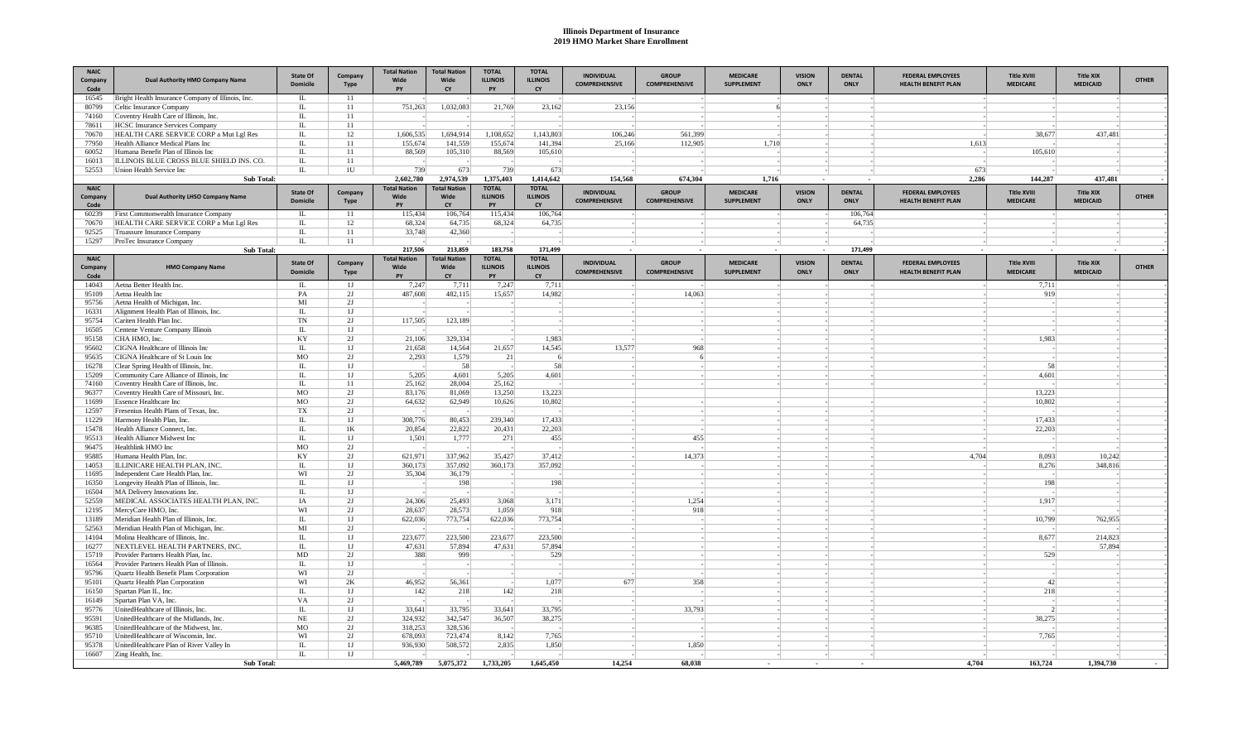## **Illinois Department of Insurance 2019 HMO Market Share Enrollment**

| <b>NAIC</b><br>Company<br>Code | <b>Dual Authority HMO Company Name</b>                                           | <b>State Of</b><br><b>Domicile</b> | Company<br><b>Type</b> | <b>Total Nation</b><br><b>Wide</b><br>PY | <b>Total Nation</b><br>Wide<br>CY | <b>TOTAL</b><br><b>ILLINOIS</b><br>PY | <b>TOTAL</b><br><b>ILLINOIS</b><br>CY | <b>INDIVIDUAL</b><br><b>COMPREHENSIVE</b> | <b>GROUP</b><br><b>COMPREHENSIVE</b> | <b>MEDICARE</b><br><b>SUPPLEMENT</b> | <b>VISION</b><br>ONLY | <b>DENTAL</b><br><b>ONLY</b> | <b>FEDERAL EMPLOYEES</b><br><b>HEALTH BENEFIT PLAN</b> | <b>Title XVIII</b><br><b>MEDICARE</b> | <b>Title XIX</b><br><b>MEDICAID</b> | <b>OTHER</b> |
|--------------------------------|----------------------------------------------------------------------------------|------------------------------------|------------------------|------------------------------------------|-----------------------------------|---------------------------------------|---------------------------------------|-------------------------------------------|--------------------------------------|--------------------------------------|-----------------------|------------------------------|--------------------------------------------------------|---------------------------------------|-------------------------------------|--------------|
| 16545                          | Bright Health Insurance Company of Illinois, Inc.                                | $\mathbf{L}$                       | 11                     |                                          |                                   |                                       |                                       |                                           |                                      |                                      |                       |                              |                                                        |                                       |                                     |              |
| 80799                          | Celtic Insurance Company                                                         | $\mathbb{L}$                       | 11                     | 751.263                                  | 1,032,083                         | 21,769                                | 23,162                                | 23,156                                    |                                      | $6 \times$                           |                       |                              |                                                        |                                       |                                     |              |
| 74160<br>78611                 | Coventry Health Care of Illinois, Inc.<br><b>HCSC</b> Insurance Services Company | $\mathbb{L}$<br>$\mathbf{L}$       | 11<br>11               |                                          |                                   |                                       |                                       |                                           |                                      |                                      |                       |                              |                                                        |                                       |                                     |              |
| 70670                          | HEALTH CARE SERVICE CORP a Mut Lgl Res                                           | $\mathbb{L}$                       | 12                     | 1,606,535                                | 1.694.914                         | 1.108.652                             | 1.143.803                             | 106.246                                   | 561.399                              |                                      |                       |                              |                                                        | 38,677                                | 437,481                             |              |
| 77950                          | Health Alliance Medical Plans Inc                                                | $\Pi$ .                            | 11                     | 155,674                                  | 141.559                           | 155,674                               | 141.394                               | 25,166                                    | 112,905                              | 1,710                                |                       |                              | 1,613                                                  |                                       |                                     |              |
| 60052                          | Humana Benefit Plan of Illinois Inc                                              | П.                                 | 11                     | 88,569                                   | 105,310                           | 88,569                                | 105,610                               |                                           |                                      |                                      |                       |                              |                                                        | 105,610                               |                                     |              |
| 16013                          | ILLINOIS BLUE CROSS BLUE SHIELD INS. CO.                                         | $\mathbf{L}$                       | 11                     |                                          |                                   |                                       |                                       |                                           |                                      |                                      |                       |                              |                                                        |                                       |                                     |              |
| 52553                          | Union Health Service Inc                                                         | IL.                                | 1U                     | 739                                      | 673                               | 739                                   | 673                                   |                                           |                                      |                                      |                       |                              | 673                                                    |                                       |                                     |              |
|                                | Sub Total:                                                                       |                                    |                        | 2,602,780                                | 2,974,539                         | 1,375,403                             | 1,414,642                             | 154,568                                   | 674,304                              | 1,716                                |                       |                              | 2,286                                                  | 144,287                               | 437,481                             |              |
| <b>NAIC</b><br>Company         | <b>Dual Authority LHSO Company Name</b>                                          | <b>State Of</b>                    | Company                | <b>Total Nation</b><br>Wide              | <b>Total Nation</b><br>Wide       | <b>TOTAL</b><br><b>ILLINOIS</b>       | <b>TOTAL</b><br><b>ILLINOIS</b>       | <b>INDIVIDUAL</b>                         | <b>GROUP</b>                         | <b>MEDICARE</b>                      | <b>VISION</b>         | <b>DENTAL</b>                | <b>FEDERAL EMPLOYEES</b>                               | <b>Title XVIII</b>                    | <b>Title XIX</b>                    | <b>OTHER</b> |
| Code                           |                                                                                  | <b>Domicile</b>                    | Type                   | PY                                       | CY                                | PY                                    | CY                                    | <b>COMPREHENSIVE</b>                      | <b>COMPREHENSIVE</b>                 | <b>SUPPLEMENT</b>                    | ONLY                  | ONLY                         | <b>HEALTH BENEFIT PLAN</b>                             | <b>MEDICARE</b>                       | <b>MEDICAID</b>                     |              |
| 60239                          | First Commonwealth Insurance Company                                             | IL.                                | 11                     | 115,434                                  | 106,764                           | 115,434                               | 106,764                               |                                           |                                      |                                      |                       | 106,764                      |                                                        |                                       |                                     |              |
| 70670                          | HEALTH CARE SERVICE CORP a Mut Lel Res                                           | $\mathbb{L}$                       | 12                     | 68.324                                   | 64,735                            | 68.324                                | 64,735                                |                                           |                                      |                                      |                       | 64,735                       |                                                        |                                       |                                     |              |
| 92525                          | Truassure Insurance Company                                                      | $\Pi$                              | 11                     | 33,748                                   | 42,360                            |                                       |                                       |                                           |                                      |                                      |                       |                              |                                                        |                                       |                                     |              |
| 15297                          | ProTec Insurance Company                                                         | IL                                 | 11                     |                                          |                                   |                                       |                                       |                                           |                                      |                                      |                       |                              |                                                        |                                       |                                     |              |
| <b>NAIC</b>                    | <b>Sub Total:</b>                                                                |                                    |                        | 217.506<br><b>Total Nation</b>           | 213.859<br><b>Total Nation</b>    | 183.758<br><b>TOTAL</b>               | 171,499<br><b>TOTAL</b>               |                                           |                                      |                                      |                       | 171,499                      |                                                        |                                       |                                     |              |
| Company<br>Code                | <b>HMO Company Name</b>                                                          | <b>State Of</b><br><b>Domicile</b> | Company<br>Type        | Wide<br><b>PY</b>                        | Wide<br>CY                        | <b>ILLINOIS</b><br>PY                 | <b>ILLINOIS</b><br><b>CY</b>          | <b>INDIVIDUAL</b><br><b>COMPREHENSIVE</b> | <b>GROUP</b><br><b>COMPREHENSIVE</b> | <b>MEDICARE</b><br><b>SUPPLEMENT</b> | <b>VISION</b><br>ONLY | <b>DENTAL</b><br>ONLY        | <b>FEDERAL EMPLOYEES</b><br><b>HEALTH BENEFIT PLAN</b> | <b>Title XVIII</b><br><b>MEDICARE</b> | <b>Title XIX</b><br><b>MEDICAID</b> | <b>OTHER</b> |
| 14043                          | Aetna Better Health Inc.                                                         | П.                                 | 1 J                    | 7,247                                    | 7,711                             | 7,247                                 | 7,711                                 |                                           |                                      |                                      |                       |                              |                                                        | 7,711                                 |                                     |              |
| 95109                          | Aetna Health Inc                                                                 | PA                                 | 2J                     | 487,608                                  | 482,115                           | 15.657                                | 14.982                                |                                           | 14,063                               |                                      |                       |                              |                                                        | 919                                   |                                     |              |
| 95756                          | Aetna Health of Michigan, Inc.                                                   | MI                                 | 2J                     |                                          |                                   |                                       |                                       |                                           |                                      |                                      |                       |                              |                                                        |                                       |                                     |              |
| 16331                          | Alignment Health Plan of Illinois, Inc.                                          | $\Pi$ .                            | 1J                     |                                          |                                   |                                       |                                       |                                           |                                      |                                      |                       |                              |                                                        |                                       |                                     |              |
| 95754<br>16505                 | Cariten Health Plan Inc.<br>Centene Venture Company Illinois                     | TN<br>IL.                          | 2J<br>1J               | 117,505                                  | 123,189                           |                                       |                                       |                                           |                                      |                                      |                       |                              |                                                        |                                       |                                     |              |
| 95158                          | CHA HMO, Inc.                                                                    | KY                                 | 2J                     | 21,106                                   | 329.334                           |                                       | 1,983                                 |                                           |                                      |                                      |                       |                              |                                                        | 1,983                                 |                                     |              |
| 95602                          | CIGNA Healthcare of Illinois Inc                                                 | IL                                 | 1J                     | 21.658                                   | 14.564                            | 21,657                                | 14.545                                | 13.577                                    | 968                                  |                                      |                       |                              |                                                        |                                       |                                     |              |
| 95635                          | CIGNA Healthcare of St Louis Inc                                                 | MO                                 | 2I                     | 2,293                                    | 1,579                             | 21                                    | 6                                     |                                           | 6                                    |                                      |                       |                              |                                                        |                                       |                                     |              |
| 16278                          | Clear Spring Health of Illinois, Inc.                                            | $\mathbb{L}$                       | 1J                     |                                          | 58                                |                                       | 58                                    |                                           |                                      |                                      |                       |                              |                                                        | 58                                    |                                     |              |
| 15209                          | Community Care Alliance of Illinois, Inc.                                        | $\mathbf{L}$                       | 1J                     | 5,205                                    | 4,601                             | 5,205                                 | 4,601                                 |                                           |                                      |                                      |                       |                              |                                                        | 4,601                                 |                                     |              |
| 74160                          | Coventry Health Care of Illinois, Inc.                                           | $\mathbb{L}$                       | 11                     | 25.162                                   | 28,004                            | 25.162                                |                                       |                                           |                                      |                                      |                       |                              |                                                        |                                       |                                     |              |
| 96377                          | Coventry Health Care of Missouri, Inc.                                           | M <sub>O</sub>                     | 2J                     | 83,176                                   | 81,069                            | 13,250                                | 13,223                                |                                           |                                      |                                      |                       |                              |                                                        | 13.223                                |                                     |              |
| 11699<br>12597                 | <b>Essence Healthcare Inc</b><br>Fresenius Health Plans of Texas, Inc.           | MO<br>TX                           | 2J<br>2J               | 64,632                                   | 62,949                            | 10,626                                | 10,802                                |                                           |                                      |                                      |                       |                              |                                                        | 10,802                                |                                     |              |
| 11229                          | Harmony Health Plan, Inc.                                                        | IL.                                | 1J                     | 308,776                                  | 80,453                            | 239,340                               | 17,433                                |                                           |                                      |                                      |                       |                              |                                                        | 17,433                                |                                     |              |
| 15478                          | Health Alliance Connect, Inc.                                                    | $\mathbf{L}$                       | 1K                     | 20,854                                   | 22.822                            | 20,431                                | 22,203                                |                                           |                                      |                                      |                       |                              |                                                        | 22,203                                |                                     |              |
| 95513                          | Health Alliance Midwest Inc                                                      | IL                                 | 1J                     | 1,501                                    | 1,777                             | 271                                   | 455                                   |                                           | 455                                  |                                      |                       |                              |                                                        |                                       |                                     |              |
| 96475                          | Healthlink HMO Inc                                                               | M <sub>O</sub>                     | 2J                     |                                          |                                   |                                       |                                       |                                           |                                      |                                      |                       |                              |                                                        |                                       |                                     |              |
| 95885                          | Humana Health Plan, Inc.                                                         | KY                                 | 2J                     | 621.971                                  | 337,962                           | 35.427                                | 37.412                                |                                           | 14.373                               |                                      |                       |                              | 4.704                                                  | 8.093                                 | 10.242                              |              |
| 14053                          | ILLINICARE HEALTH PLAN, INC.                                                     | $\mathbb{L}$                       | 1J                     | 360,173                                  | 357,092                           | 360,173                               | 357,092                               |                                           |                                      |                                      |                       |                              |                                                        | 8,276                                 | 348,816                             |              |
| 11695                          | Independent Care Health Plan, Inc.                                               | WI                                 | 2J<br>1J               | 35,304                                   | 36,179                            |                                       | 198                                   |                                           |                                      |                                      |                       |                              |                                                        | 198                                   |                                     |              |
| 16350<br>16504                 | Longevity Health Plan of Illinois, Inc.<br>MA Delivery Innovations Inc.          | $\mathbf{L}$<br>IL.                | 1J                     |                                          | 198                               |                                       |                                       |                                           |                                      |                                      |                       |                              |                                                        |                                       |                                     |              |
| 52559                          | MEDICAL ASSOCIATES HEALTH PLAN, INC.                                             | IA                                 | 2J                     | 24,306                                   | 25.493                            | 3.068                                 | 3,171                                 |                                           | 1.254                                |                                      |                       |                              |                                                        | 1,917                                 |                                     |              |
| 12195                          | MercyCare HMO, Inc.                                                              | WI                                 | 2J                     | 28,637                                   | 28,573                            | 1.059                                 | 918                                   |                                           | 918                                  |                                      |                       |                              |                                                        |                                       |                                     |              |
| 13189                          | Meridian Health Plan of Illinois, Inc.                                           | IL                                 | 1J                     | 622.036                                  | 773,754                           | 622.036                               | 773,754                               |                                           |                                      |                                      |                       |                              |                                                        | 10.799                                | 762,955                             |              |
| 52563                          | Meridian Health Plan of Michigan, Inc.                                           | $\overline{M}$                     | 2J                     |                                          |                                   |                                       |                                       |                                           |                                      |                                      |                       |                              |                                                        |                                       |                                     |              |
| 14104                          | Molina Healthcare of Illinois, Inc.                                              | IL                                 | 1J                     | 223.677                                  | 223.500                           | 223,677                               | 223,500                               |                                           |                                      |                                      |                       |                              |                                                        | 8,677                                 | 214,823                             |              |
| 16277                          | NEXTLEVEL HEALTH PARTNERS, INC.                                                  | $\mathbf{L}$                       | 1J                     | 47,631                                   | 57,894                            | 47,631                                | 57,894                                |                                           |                                      |                                      |                       |                              |                                                        |                                       | 57,894                              |              |
| 15719<br>16564                 | Provider Partners Health Plan, Inc.<br>Provider Partners Health Plan of Illinois | MD<br>$\mathbf{L}$                 | 2J<br>1J               | 388                                      | 999                               |                                       | 529                                   |                                           |                                      |                                      |                       |                              |                                                        | 529                                   |                                     |              |
| 95796                          | Quartz Health Benefit Plans Corporation                                          | WI                                 | 2J                     |                                          |                                   |                                       |                                       |                                           |                                      |                                      |                       |                              |                                                        |                                       |                                     |              |
| 95101                          | Quartz Health Plan Corporation                                                   | WI                                 | 2K                     | 46.952                                   | 56.361                            |                                       | 1.077                                 | 677                                       | 358                                  |                                      |                       |                              |                                                        | 42                                    |                                     |              |
| 16150                          | Spartan Plan IL, Inc.                                                            | IL                                 | 1J                     | 142                                      | 218                               | 142                                   | 218                                   |                                           |                                      |                                      |                       |                              |                                                        | 218                                   |                                     |              |
| 16149                          | Spartan Plan VA, Inc.                                                            | VA                                 | 2J                     |                                          |                                   |                                       |                                       |                                           |                                      |                                      |                       |                              |                                                        |                                       |                                     |              |
| 95776                          | UnitedHealthcare of Illinois, Inc.                                               | IL                                 | 1J                     | 33,641                                   | 33,795                            | 33,641                                | 33,795                                |                                           | 33,793                               |                                      |                       |                              |                                                        |                                       |                                     |              |
| 95591                          | UnitedHealthcare of the Midlands, Inc.                                           | NE                                 | 2J                     | 324.932                                  | 342.547                           | 36,507                                | 38,275                                |                                           |                                      |                                      |                       |                              |                                                        | 38,275                                |                                     |              |
| 96385                          | UnitedHealthcare of the Midwest, Inc.                                            | MO                                 | 2J                     | 318,253                                  | 328.536                           |                                       |                                       |                                           |                                      |                                      |                       |                              |                                                        |                                       |                                     |              |
| 95710<br>95378                 | UnitedHealthcare of Wisconsin, Inc.<br>UnitedHealthcare Plan of River Valley In  | WI<br>$\mathbf{I}$                 | 2J<br>1J               | 678,093<br>936,930                       | 723,474<br>508,572                | 8,142<br>2,835                        | 7,765<br>1,850                        |                                           | 1,850                                |                                      |                       |                              |                                                        | 7,765                                 |                                     |              |
| 16607                          | Zing Health, Inc.                                                                | $\Pi$ .                            | 1J                     |                                          |                                   |                                       |                                       |                                           |                                      |                                      |                       |                              |                                                        |                                       |                                     |              |
|                                | Sub Total:                                                                       |                                    |                        | 5,469,789                                | 5,075,372                         | 1,733,205                             | 1,645,450                             | 14,254                                    | 68,038                               |                                      |                       |                              | 4,704                                                  | 163,724                               | 1,394,730                           |              |